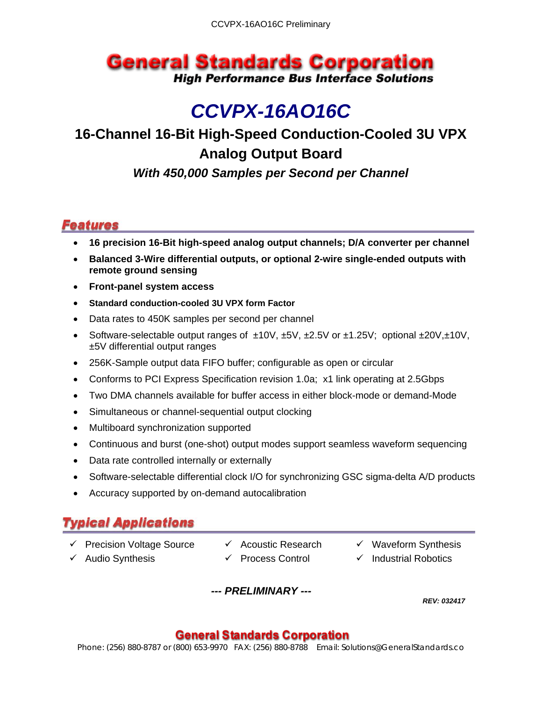## **General Standards Corporation High Performance Bus Interface Solutions**

# *CCVPX-16AO16C*

## **16-Channel 16-Bit High-Speed Conduction-Cooled 3U VPX Analog Output Board**

*With 450,000 Samples per Second per Channel*

#### **Features**

- **16 precision 16-Bit high-speed analog output channels; D/A converter per channel**
- **Balanced 3-Wire differential outputs, or optional 2-wire single-ended outputs with remote ground sensing**
- **Front-panel system access**
- **Standard conduction-cooled 3U VPX form Factor**
- Data rates to 450K samples per second per channel
- Software-selectable output ranges of ±10V, ±5V, ±2.5V or ±1.25V; optional ±20V,±10V, ±5V differential output ranges
- 256K-Sample output data FIFO buffer; configurable as open or circular
- Conforms to PCI Express Specification revision 1.0a; x1 link operating at 2.5Gbps
- Two DMA channels available for buffer access in either block-mode or demand-Mode
- Simultaneous or channel-sequential output clocking
- Multiboard synchronization supported
- Continuous and burst (one-shot) output modes support seamless waveform sequencing
- Data rate controlled internally or externally
- Software-selectable differential clock I/O for synchronizing GSC sigma-delta A/D products
- Accuracy supported by on-demand autocalibration

## **Typical Applications**

- $\checkmark$  Precision Voltage Source  $\checkmark$  Acoustic Research  $\checkmark$  Waveform Synthesis
	-
- 
- 
- 
- Audio Synthesis Process Control Industrial Robotics

*--- PRELIMINARY ---*

*REV: 032417* 

#### **General Standards Corporation**

Phone: (256) 880-8787 or (800) 653-9970 FAX: (256) 880-8788 Email: Solutions@GeneralStandards.co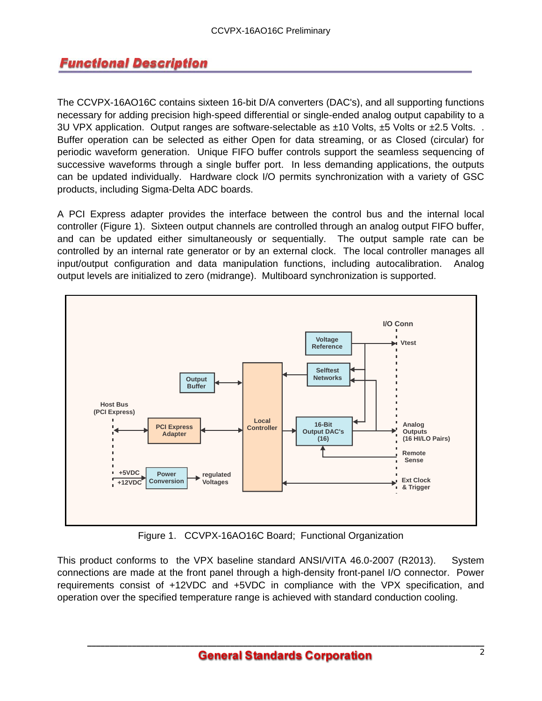#### **Functional Description**

The CCVPX-16AO16C contains sixteen 16-bit D/A converters (DAC's), and all supporting functions necessary for adding precision high-speed differential or single-ended analog output capability to a 3U VPX application. Output ranges are software-selectable as  $\pm 10$  Volts,  $\pm 5$  Volts or  $\pm 2.5$  Volts.. Buffer operation can be selected as either Open for data streaming, or as Closed (circular) for periodic waveform generation. Unique FIFO buffer controls support the seamless sequencing of successive waveforms through a single buffer port. In less demanding applications, the outputs can be updated individually. Hardware clock I/O permits synchronization with a variety of GSC products, including Sigma-Delta ADC boards.

A PCI Express adapter provides the interface between the control bus and the internal local controller (Figure 1). Sixteen output channels are controlled through an analog output FIFO buffer, and can be updated either simultaneously or sequentially. The output sample rate can be controlled by an internal rate generator or by an external clock. The local controller manages all input/output configuration and data manipulation functions, including autocalibration. Analog output levels are initialized to zero (midrange). Multiboard synchronization is supported.



Figure 1. CCVPX-16AO16C Board; Functional Organization

This product conforms to the VPX baseline standard ANSI/VITA 46.0-2007 (R2013). System connections are made at the front panel through a high-density front-panel I/O connector. Power requirements consist of +12VDC and +5VDC in compliance with the VPX specification, and operation over the specified temperature range is achieved with standard conduction cooling.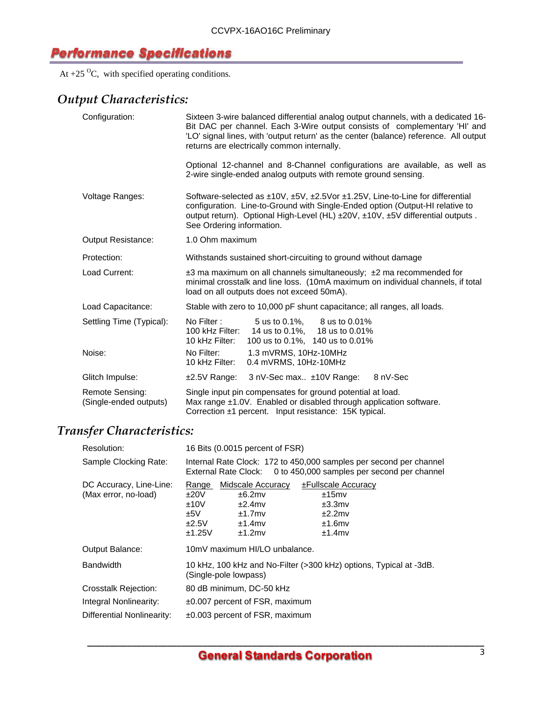#### **Performance Specifications**

At  $+25$  <sup>O</sup>C, with specified operating conditions.

### *Output Characteristics:*

| Configuration:                            | Sixteen 3-wire balanced differential analog output channels, with a dedicated 16-<br>Bit DAC per channel. Each 3-Wire output consists of complementary 'HI' and<br>'LO' signal lines, with 'output return' as the center (balance) reference. All output<br>returns are electrically common internally. |
|-------------------------------------------|---------------------------------------------------------------------------------------------------------------------------------------------------------------------------------------------------------------------------------------------------------------------------------------------------------|
|                                           | Optional 12-channel and 8-Channel configurations are available, as well as<br>2-wire single-ended analog outputs with remote ground sensing.                                                                                                                                                            |
| Voltage Ranges:                           | Software-selected as $\pm 10V$ , $\pm 5V$ , $\pm 2.5V$ or $\pm 1.25V$ , Line-to-Line for differential<br>configuration. Line-to-Ground with Single-Ended option (Output-HI relative to<br>output return). Optional High-Level (HL) ±20V, ±10V, ±5V differential outputs.<br>See Ordering information.   |
| <b>Output Resistance:</b>                 | 1.0 Ohm maximum                                                                                                                                                                                                                                                                                         |
| Protection:                               | Withstands sustained short-circuiting to ground without damage                                                                                                                                                                                                                                          |
| Load Current:                             | $\pm$ 3 ma maximum on all channels simultaneously; $\pm$ 2 ma recommended for<br>minimal crosstalk and line loss. (10mA maximum on individual channels, if total<br>load on all outputs does not exceed 50mA).                                                                                          |
| Load Capacitance:                         | Stable with zero to 10,000 pF shunt capacitance; all ranges, all loads.                                                                                                                                                                                                                                 |
| Settling Time (Typical):                  | No Filter:<br>5 us to 0.1%, 8 us to 0.01%<br>14 us to 0.1%, 18 us to 0.01%<br>100 kHz Filter:<br>10 kHz Filter:<br>100 us to 0.1%, 140 us to 0.01%                                                                                                                                                      |
| Noise:                                    | No Filter:<br>1.3 mVRMS, 10Hz-10MHz<br>0.4 mVRMS, 10Hz-10MHz<br>10 kHz Filter:                                                                                                                                                                                                                          |
| Glitch Impulse:                           | 3 nV-Sec max ±10V Range:<br>±2.5V Range:<br>8 nV-Sec                                                                                                                                                                                                                                                    |
| Remote Sensing:<br>(Single-ended outputs) | Single input pin compensates for ground potential at load.<br>Max range ±1.0V. Enabled or disabled through application software.<br>Correction ±1 percent. Input resistance: 15K typical.                                                                                                               |

### *Transfer Characteristics:*

| Resolution:                                     | 16 Bits (0.0015 percent of FSR)                 |                                                                                 |                                                                                                                   |
|-------------------------------------------------|-------------------------------------------------|---------------------------------------------------------------------------------|-------------------------------------------------------------------------------------------------------------------|
| Sample Clocking Rate:                           | External Rate Clock:                            |                                                                                 | Internal Rate Clock: 172 to 450,000 samples per second per channel<br>0 to 450,000 samples per second per channel |
| DC Accuracy, Line-Line:<br>(Max error, no-load) | Range<br>±20V<br>±10V<br>±5V<br>±2.5V<br>±1.25V | Midscale Accuracy<br>±6.2mv<br>$±2.4$ mv<br>$±1.7$ mv<br>$±1.4$ mv<br>$±1.2$ mv | ±Fullscale Accuracy<br>±15mv<br>$±3.3$ m $v$<br>±2.2mv<br>$±1.6$ mv<br>$±1.4$ mv                                  |
| Output Balance:                                 |                                                 | 10mV maximum HI/LO unbalance.                                                   |                                                                                                                   |
| <b>Bandwidth</b>                                | (Single-pole lowpass)                           |                                                                                 | 10 kHz, 100 kHz and No-Filter (>300 kHz) options, Typical at -3dB.                                                |
| Crosstalk Rejection:                            | 80 dB minimum, DC-50 kHz                        |                                                                                 |                                                                                                                   |
| Integral Nonlinearity:                          |                                                 | $\pm 0.007$ percent of FSR, maximum                                             |                                                                                                                   |
| Differential Nonlinearity:                      | $\pm 0.003$ percent of FSR, maximum             |                                                                                 |                                                                                                                   |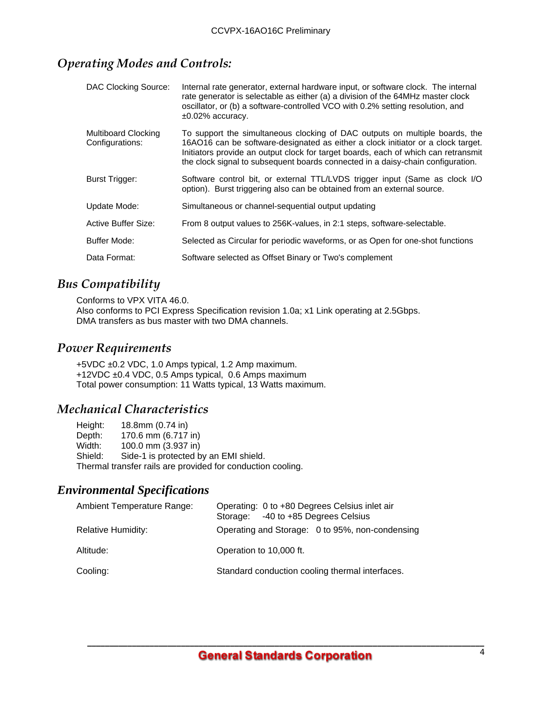#### *Operating Modes and Controls:*

| DAC Clocking Source:                          | Internal rate generator, external hardware input, or software clock. The internal<br>rate generator is selectable as either (a) a division of the 64MHz master clock<br>oscillator, or (b) a software-controlled VCO with 0.2% setting resolution, and<br>$\pm 0.02\%$ accuracy.                                                         |
|-----------------------------------------------|------------------------------------------------------------------------------------------------------------------------------------------------------------------------------------------------------------------------------------------------------------------------------------------------------------------------------------------|
| <b>Multiboard Clocking</b><br>Configurations: | To support the simultaneous clocking of DAC outputs on multiple boards, the<br>16AO16 can be software-designated as either a clock initiator or a clock target.<br>Initiators provide an output clock for target boards, each of which can retransmit<br>the clock signal to subsequent boards connected in a daisy-chain configuration. |
| Burst Trigger:                                | Software control bit, or external TTL/LVDS trigger input (Same as clock I/O<br>option). Burst triggering also can be obtained from an external source.                                                                                                                                                                                   |
| Update Mode:                                  | Simultaneous or channel-sequential output updating                                                                                                                                                                                                                                                                                       |
| Active Buffer Size:                           | From 8 output values to 256K-values, in 2:1 steps, software-selectable.                                                                                                                                                                                                                                                                  |
| Buffer Mode:                                  | Selected as Circular for periodic waveforms, or as Open for one-shot functions                                                                                                                                                                                                                                                           |
| Data Format:                                  | Software selected as Offset Binary or Two's complement                                                                                                                                                                                                                                                                                   |

#### *Bus Compatibility*

Conforms to VPX VITA 46.0. Also conforms to PCI Express Specification revision 1.0a; x1 Link operating at 2.5Gbps. DMA transfers as bus master with two DMA channels.

#### *Power Requirements*

+5VDC ±0.2 VDC, 1.0 Amps typical, 1.2 Amp maximum. +12VDC ±0.4 VDC, 0.5 Amps typical, 0.6 Amps maximum Total power consumption: 11 Watts typical, 13 Watts maximum.

#### *Mechanical Characteristics*

Height: 18.8mm (0.74 in) Depth: 170.6 mm (6.717 in)<br>Width: 100.0 mm (3.937 in) 100.0 mm (3.937 in) Shield: Side-1 is protected by an EMI shield. Thermal transfer rails are provided for conduction cooling.

#### *Environmental Specifications*

| Ambient Temperature Range: | Operating: 0 to +80 Degrees Celsius inlet air<br>Storage: -40 to +85 Degrees Celsius |
|----------------------------|--------------------------------------------------------------------------------------|
| <b>Relative Humidity:</b>  | Operating and Storage: 0 to 95%, non-condensing                                      |
| Altitude:                  | Operation to 10,000 ft.                                                              |
| Cooling:                   | Standard conduction cooling thermal interfaces.                                      |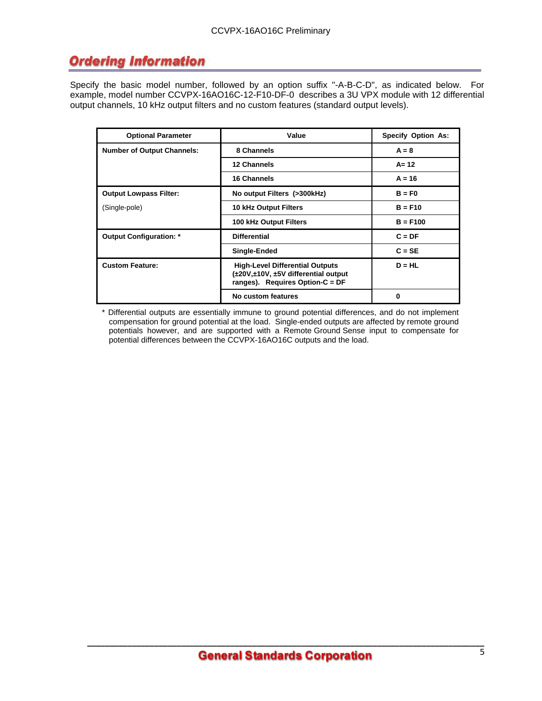### **Ordering Information**

Specify the basic model number, followed by an option suffix "-A-B-C-D", as indicated below. For example, model number CCVPX-16AO16C-12-F10-DF-0 describes a 3U VPX module with 12 differential output channels, 10 kHz output filters and no custom features (standard output levels).

| <b>Optional Parameter</b>         | Value                                                                                                                         | <b>Specify Option As:</b> |
|-----------------------------------|-------------------------------------------------------------------------------------------------------------------------------|---------------------------|
| <b>Number of Output Channels:</b> | 8 Channels                                                                                                                    | $A = 8$                   |
|                                   | 12 Channels                                                                                                                   | $A = 12$                  |
|                                   | 16 Channels                                                                                                                   | $A = 16$                  |
| <b>Output Lowpass Filter:</b>     | No output Filters (>300kHz)                                                                                                   | $B = F0$                  |
| (Single-pole)                     | <b>10 kHz Output Filters</b>                                                                                                  | $B = F10$                 |
|                                   | 100 kHz Output Filters                                                                                                        | $B = F100$                |
| <b>Output Configuration: *</b>    | <b>Differential</b>                                                                                                           | $C = DF$                  |
|                                   | Single-Ended                                                                                                                  | $C = SE$                  |
| <b>Custom Feature:</b>            | <b>High-Level Differential Outputs</b><br>$(\pm 20V, \pm 10V, \pm 5V)$ differential output<br>ranges). Requires Option-C = DF | $D = HL$                  |
|                                   | No custom features                                                                                                            | 0                         |

\* Differential outputs are essentially immune to ground potential differences, and do not implement compensation for ground potential at the load. Single-ended outputs are affected by remote ground potentials however, and are supported with a Remote Ground Sense input to compensate for potential differences between the CCVPX-16AO16C outputs and the load.